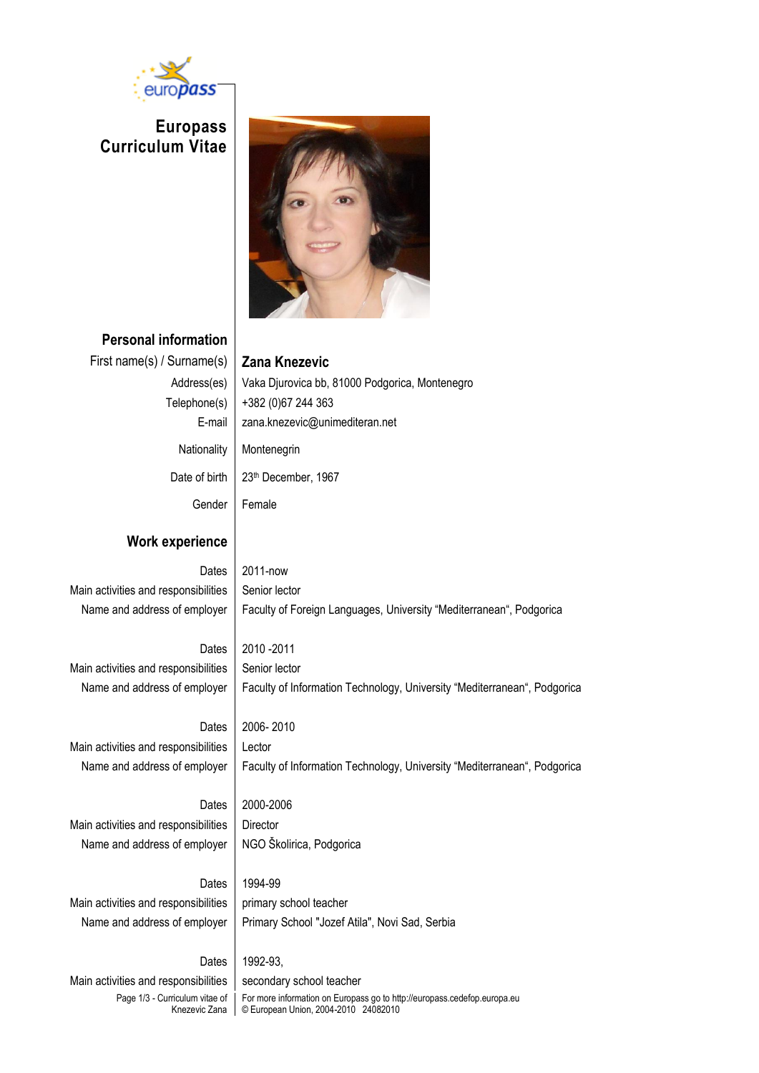

**Europass Curriculum Vitae**



**Personal information** First name(s) / Surname(s) **Zana Knezevic** Address(es) Vaka Djurovica bb, 81000 Podgorica, Montenegro Telephone(s)  $|$  +382 (0)67 244 363 E-mail | zana.knezevic@unimediteran.net Nationality | Montenegrin Date of birth | 23<sup>th</sup> December, 1967 Gender Female **Work experience** Dates 2011-now Main activities and responsibilities  $\vert$  Senior lector Name and address of employer | Faculty of Foreign Languages, University "Mediterranean", Podgorica Dates 2010 -2011 Main activities and responsibilities  $\vert$  Senior lector Name and address of employer | Faculty of Information Technology, University "Mediterranean", Podgorica Dates | 2006-2010 Main activities and responsibilities | Lector Name and address of employer | Faculty of Information Technology, University "Mediterranean", Podgorica Dates 2000-2006 Main activities and responsibilities | Director Name and address of employer | NGO Školirica, Podgorica Dates 1994-99 Main activities and responsibilities  $|$  primary school teacher Name and address of employer | Primary School "Jozef Atila", Novi Sad, Serbia Dates | 1992-93, Main activities and responsibilities  $\parallel$  secondary school teacher

Page 1/3 - Curriculum vitae of Knezevic Zana For more information on Europass go to http://europass.cedefop.europa.eu © European Union, 2004-2010 24082010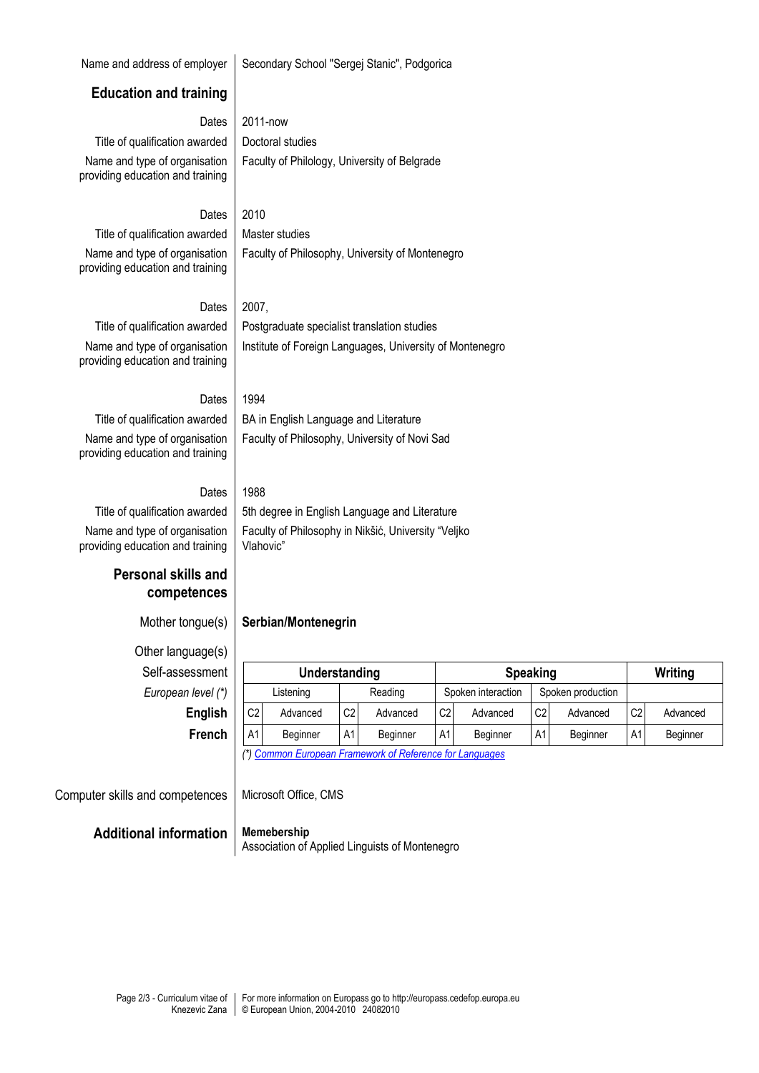#### Name and address of employer Secondary School "Sergei Stanic", Podgorica

#### **Education and training**

### Dates 2011-now

Title of qualification awarded  $\vert$  Doctoral studies Name and type of organisation providing education and training

Faculty of Philology, University of Belgrade

### Dates 2010

Title of qualification awarded  $\parallel$  Master studies Name and type of organisation providing education and training

Faculty of Philosophy, University of Montenegro

#### Dates  $2007$ ,

Name and type of organisation providing education and training

Title of qualification awarded | Postgraduate specialist translation studies Institute of Foreign Languages, University of Montenegro

Faculty of Philosophy, University of Novi Sad

Faculty of Philosophy in Nikšić, University "Veljko

### Dates 1994

## Title of qualification awarded  $\parallel$  BA in English Language and Literature Name and type of organisation

providing education and training

#### Dates 1988

Vlahovic"

Title of qualification awarded  $\parallel$  5th degree in English Language and Literature Name and type of organisation providing education and training

### **Personal skills and competences**

Mother tongue(s) **Serbian/Montenegrin**

# Other language(s)  $Self-assessmen$ **European level (\***

| uage(s)       |                |          |                |               |                    |                 |                   |          |                |          |  |
|---------------|----------------|----------|----------------|---------------|--------------------|-----------------|-------------------|----------|----------------|----------|--|
| essment       |                |          |                | Understanding |                    | <b>Speaking</b> |                   |          |                | Writing  |  |
| n level (*)   | Listening      |          | Reading        |               | Spoken interaction |                 | Spoken production |          |                |          |  |
| English       | C <sub>2</sub> | Advanced | C <sub>2</sub> | Advanced      | C <sub>2</sub>     | Advanced        | C <sub>2</sub>    | Advanced | C <sub>2</sub> | Advanced |  |
| <b>French</b> | A1             | Beginner | A1             | Beginner      | A1                 | Beginner        | A <sub>1</sub>    | Beginner | A1             | Beginner |  |

*(\*[\) Common European Framework of Reference for Languages](http://europass.cedefop.europa.eu/LanguageSelfAssessmentGrid/en)*

Computer skills and competences | Microsoft Office, CMS

#### **Additional information Memebership**

Association of Applied Linguists of Montenegro